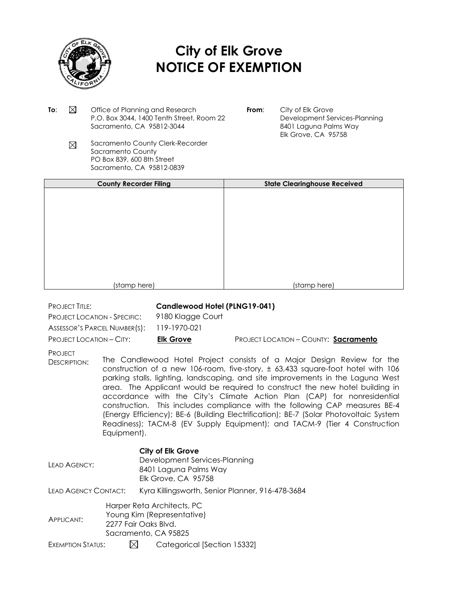

## **City of Elk Grove NOTICE OF EXEMPTION**

- **To:**  $\boxtimes$  Office of Planning and Research P.O. Box 3044, 1400 Tenth Street, Room 22 Sacramento, CA 95812-3044
- **From:** City of Elk Grove Development Services-Planning 8401 Laguna Palms Way Elk Grove, CA 95758
- Sacramento County Clerk-Recorder  $\boxtimes$ Sacramento County PO Box 839, 600 8th Street Sacramento, CA 95812-0839

| <b>County Recorder Filing</b> | <b>State Clearinghouse Received</b> |
|-------------------------------|-------------------------------------|
|                               |                                     |
|                               |                                     |
|                               |                                     |
|                               |                                     |
|                               |                                     |
|                               |                                     |
|                               |                                     |
|                               |                                     |
|                               |                                     |
|                               |                                     |
|                               |                                     |
| (stamp here)                  | (stamp here)                        |

PROJECT TITLE: **Candlewood Hotel (PLNG19-041)**

PROJECT LOCATION - SPECIFIC: 9180 Klagge Court ASSESSOR'S PARCEL NUMBER(S): 119-1970-021

PROJECT LOCATION – CITY: **Elk Grove** PROJECT LOCATION – COUNTY: **Sacramento**

PROJECT

DESCRIPTION: The Candlewood Hotel Project consists of a Major Design Review for the construction of a new 106-room, five-story, ± 63,433 square-foot hotel with 106 parking stalls, lighting, landscaping, and site improvements in the Laguna West area. The Applicant would be required to construct the new hotel building in accordance with the City's Climate Action Plan (CAP) for nonresidential construction. This includes compliance with the following CAP measures BE-4 (Energy Efficiency); BE-6 (Building Electrification); BE-7 (Solar Photovoltaic System Readiness); TACM-8 (EV Supply Equipment); and TACM-9 (Tier 4 Construction Equipment).

## **City of Elk Grove**

| LEAD AGENCY:         |                                                                                                          | Development Services-Planning<br>8401 Laguna Palms Way<br>Elk Grove, CA 95758 |
|----------------------|----------------------------------------------------------------------------------------------------------|-------------------------------------------------------------------------------|
| LEAD AGENCY CONTACT: |                                                                                                          | Kyra Killingsworth, Senior Planner, 916-478-3684                              |
| <b>APPLICANT:</b>    | Harper Reta Architects, PC<br>Young Kim (Representative)<br>2277 Fair Oaks Blvd.<br>Sacramento, CA 95825 |                                                                               |
| $\Gamma$             |                                                                                                          | $C = 1 - 2$                                                                   |

EXEMPTION STATUS:  $\boxtimes$  Categorical [Section 15332]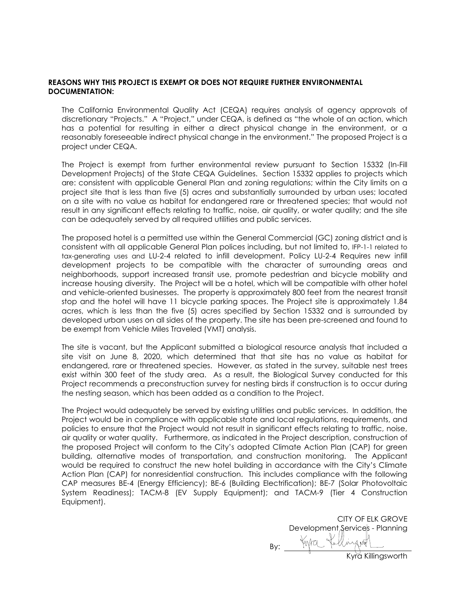## **REASONS WHY THIS PROJECT IS EXEMPT OR DOES NOT REQUIRE FURTHER ENVIRONMENTAL DOCUMENTATION:**

The California Environmental Quality Act (CEQA) requires analysis of agency approvals of discretionary "Projects." A "Project," under CEQA, is defined as "the whole of an action, which has a potential for resulting in either a direct physical change in the environment, or a reasonably foreseeable indirect physical change in the environment." The proposed Project is a project under CEQA.

The Project is exempt from further environmental review pursuant to Section 15332 (In-Fill Development Projects) of the State CEQA Guidelines. Section 15332 applies to projects which are: consistent with applicable General Plan and zoning regulations; within the City limits on a project site that is less than five (5) acres and substantially surrounded by urban uses; located on a site with no value as habitat for endangered rare or threatened species; that would not result in any significant effects relating to traffic, noise, air quality, or water quality; and the site can be adequately served by all required utilities and public services.

The proposed hotel is a permitted use within the General Commercial (GC) zoning district and is consistent with all applicable General Plan polices including, but not limited to, IFP-1-1 related to tax-generating uses and LU-2-4 related to infill development. Policy LU-2-4 Requires new infill development projects to be compatible with the character of surrounding areas and neighborhoods, support increased transit use, promote pedestrian and bicycle mobility and increase housing diversity. The Project will be a hotel, which will be compatible with other hotel and vehicle-oriented businesses. The property is approximately 800 feet from the nearest transit stop and the hotel will have 11 bicycle parking spaces. The Project site is approximately 1.84 acres, which is less than the five (5) acres specified by Section 15332 and is surrounded by developed urban uses on all sides of the property. The site has been pre-screened and found to be exempt from Vehicle Miles Traveled (VMT) analysis.

The site is vacant, but the Applicant submitted a biological resource analysis that included a site visit on June 8, 2020, which determined that that site has no value as habitat for endangered, rare or threatened species. However, as stated in the survey, suitable nest trees exist within 300 feet of the study area. As a result, the Biological Survey conducted for this Project recommends a preconstruction survey for nesting birds if construction is to occur during the nesting season, which has been added as a condition to the Project.

The Project would adequately be served by existing utilities and public services. In addition, the Project would be in compliance with applicable state and local regulations, requirements, and policies to ensure that the Project would not result in significant effects relating to traffic, noise, air quality or water quality. Furthermore, as indicated in the Project description, construction of the proposed Project will conform to the City's adopted Climate Action Plan (CAP) for green building, alternative modes of transportation, and construction monitoring. The Applicant would be required to construct the new hotel building in accordance with the City's Climate Action Plan (CAP) for nonresidential construction. This includes compliance with the following CAP measures BE-4 (Energy Efficiency); BE-6 (Building Electrification); BE-7 (Solar Photovoltaic System Readiness); TACM-8 (EV Supply Equipment); and TACM-9 (Tier 4 Construction Equipment).

CITY OF ELK GROVE Development Services - Planning By: Kyra Killingsworth